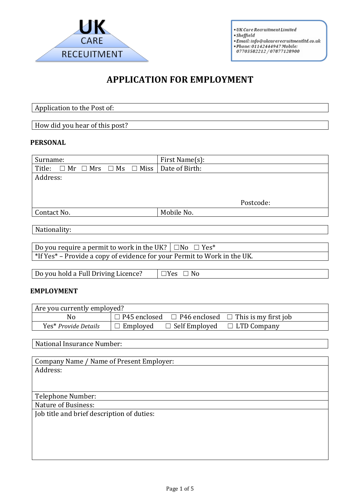

 $\bullet$  UK Care Recruitment Limited - Sheffield<br>
• Email: info@ukcarerecruitmentItd.co.uk<br>
• Phone: 01142444947 Mobile:<br>
07703582212 / 07877128900

# **APPLICATION FOR EMPLOYMENT**

Application to the Post of:

How did you hear of this post?

## **PERSONAL**

| Surname:                                                                | First Name(s): |
|-------------------------------------------------------------------------|----------------|
| $\Box$ Mr $\Box$ Mrs<br>$\Box$ Ms $\Box$ Miss<br>Title:                 | Date of Birth: |
| Address:                                                                |                |
|                                                                         |                |
|                                                                         |                |
|                                                                         | Postcode:      |
| Contact No.                                                             | Mobile No.     |
|                                                                         |                |
| Nationality:                                                            |                |
|                                                                         |                |
| Do you require a permit to work in the UK? $\Box$ No $\Box$ Yes*        |                |
| *If Vect. Drawide a court of cridence for your Dormit to Work in the HV |                |

 $*$  If Yes\* – Provide a copy of evidence for your Permit to Work in the UK.

| Do you hold a Full Driving Licence? | $\neg$ Yes<br>No. |
|-------------------------------------|-------------------|

#### **EMPLOYMENT**

| Are you currently employed? |                 |                                         |                                                                     |
|-----------------------------|-----------------|-----------------------------------------|---------------------------------------------------------------------|
| No                          |                 |                                         | $\Box$ P45 enclosed $\Box$ P46 enclosed $\Box$ This is my first job |
| Yes* Provide Details        | $\Box$ Employed | $\Box$ Self Employed $\Box$ LTD Company |                                                                     |

National Insurance Number:

| Company Name / Name of Present Employer:   |
|--------------------------------------------|
| Address:                                   |
|                                            |
|                                            |
| Telephone Number:                          |
| <b>Nature of Business:</b>                 |
| Job title and brief description of duties: |
|                                            |
|                                            |
|                                            |
|                                            |
|                                            |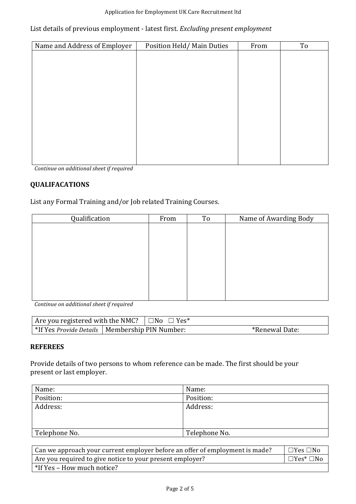#### Application for Employment UK Care Recruitment ltd

## List details of previous employment - latest first. *Excluding present employment*

| Name and Address of Employer | Position Held/Main Duties | From | To |
|------------------------------|---------------------------|------|----|
|                              |                           |      |    |
|                              |                           |      |    |
|                              |                           |      |    |
|                              |                           |      |    |
|                              |                           |      |    |
|                              |                           |      |    |
|                              |                           |      |    |
|                              |                           |      |    |
|                              |                           |      |    |
|                              |                           |      |    |
|                              |                           |      |    |

*Continue on additional sheet if required* 

## **QUALIFACATIONS**

List any Formal Training and/or Job related Training Courses.

| Qualification | From | To | Name of Awarding Body |
|---------------|------|----|-----------------------|
|               |      |    |                       |
|               |      |    |                       |
|               |      |    |                       |
|               |      |    |                       |
|               |      |    |                       |
|               |      |    |                       |
|               |      |    |                       |
|               |      |    |                       |
|               |      |    |                       |

*Continue on additional sheet if required* 

| Are you registered with the NMC? $\Box$ No $\Box$ Yes*  |  |                |
|---------------------------------------------------------|--|----------------|
| *If Yes <i>Provide Details</i>   Membership PIN Number: |  | *Renewal Date: |

### **REFEREES**

Provide details of two persons to whom reference can be made. The first should be your present or last employer.

| Name:         | Name:         |
|---------------|---------------|
| Position:     | Position:     |
| Address:      | Address:      |
|               |               |
|               |               |
| Telephone No. | Telephone No. |

| Can we approach your current employer before an offer of employment is made? | □Yes □No                      |
|------------------------------------------------------------------------------|-------------------------------|
| Are you required to give notice to your present employer?                    | $\vdash \Box Y$ es* $\Box$ No |
| $*$ If Yes – How much notice?                                                |                               |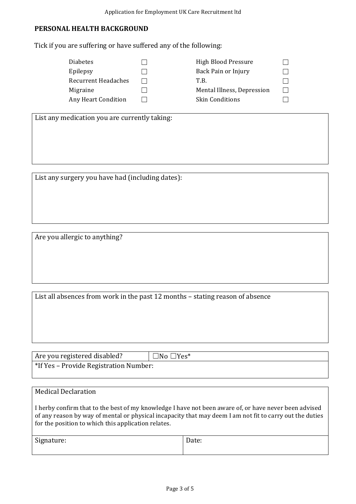### **PERSONAL HEALTH BACKGROUND**

Tick if you are suffering or have suffered any of the following:

| <b>Diabetes</b>            | <b>High Blood Pressure</b> |  |
|----------------------------|----------------------------|--|
| Epilepsy                   | Back Pain or Injury        |  |
| <b>Recurrent Headaches</b> | T.B.                       |  |
| Migraine                   | Mental Illness, Depression |  |
| <b>Any Heart Condition</b> | <b>Skin Conditions</b>     |  |

List any medication you are currently taking:

List any surgery you have had (including dates):

Are you allergic to anything?

List all absences from work in the past 12 months - stating reason of absence

Are you registered disabled?  $\Box$ No  $\Box$ Yes\* \*If Yes – Provide Registration Number:

## Medical Declaration

I herby confirm that to the best of my knowledge I have not been aware of, or have never been advised of any reason by way of mental or physical incapacity that may deem I am not fit to carry out the duties for the position to which this application relates.

| Signature: | Date: |
|------------|-------|
|            |       |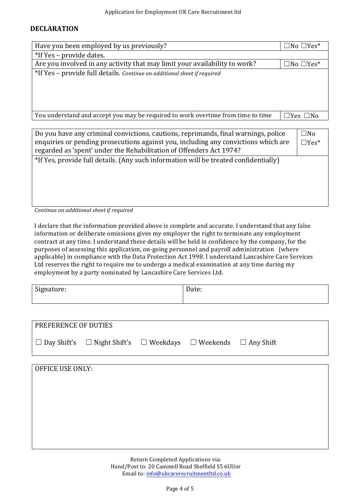#### **DECLARATION**

| Have you been employed by us previously?                                           |  | $\Box$ No $\Box$ Yes* |
|------------------------------------------------------------------------------------|--|-----------------------|
| *If Yes - provide dates.                                                           |  |                       |
| Are you involved in any activity that may limit your availability to work?         |  | $\Box$ No $\Box$ Yes* |
| *If Yes - provide full details. Continue on additional sheet if required           |  |                       |
|                                                                                    |  |                       |
|                                                                                    |  |                       |
|                                                                                    |  |                       |
|                                                                                    |  |                       |
| You understand and accept you may be required to work overtime from time to time   |  | $\Box$ Yes $\Box$ No  |
|                                                                                    |  |                       |
| Do you have any criminal convictions, cautions, reprimands, final warnings, police |  | $\square$ No          |
| enquiries or pending prosecutions against you, including any convictions which are |  |                       |

\*If Yes, provide full details. (Any such information will be treated confidentially)

regarded as 'spent' under the Rehabilitation of Offenders Act 1974?

Continue on additional sheet if required

I declare that the information provided above is complete and accurate. I understand that any false information or deliberate omissions gives my employer the right to terminate any employment contract at any time. I understand these details will be held in confidence by the company, for the purposes of assessing this application, on-going personnel and payroll administration (where applicable) in compliance with the Data Protection Act 1998. I understand Lancashire Care Services Ltd reserves the right to require me to undergo a medical examination at any time during my employment by a party nominated by Lancashire Care Services Ltd.

| Signature: | −<br>Dalc. |
|------------|------------|
|            |            |

| <b>PREFERENCE OF DUTIES</b> |                                                                                          |  |  |
|-----------------------------|------------------------------------------------------------------------------------------|--|--|
|                             | $\Box$ Day Shift's $\Box$ Night Shift's $\Box$ Weekdays $\Box$ Weekends $\Box$ Any Shift |  |  |
|                             |                                                                                          |  |  |

Return Completed Applications via: Hand/Post to: 20 Cammell Road Sheffield S5 6UUor Email to: info@ukcarerecruitmentltd.co.uk